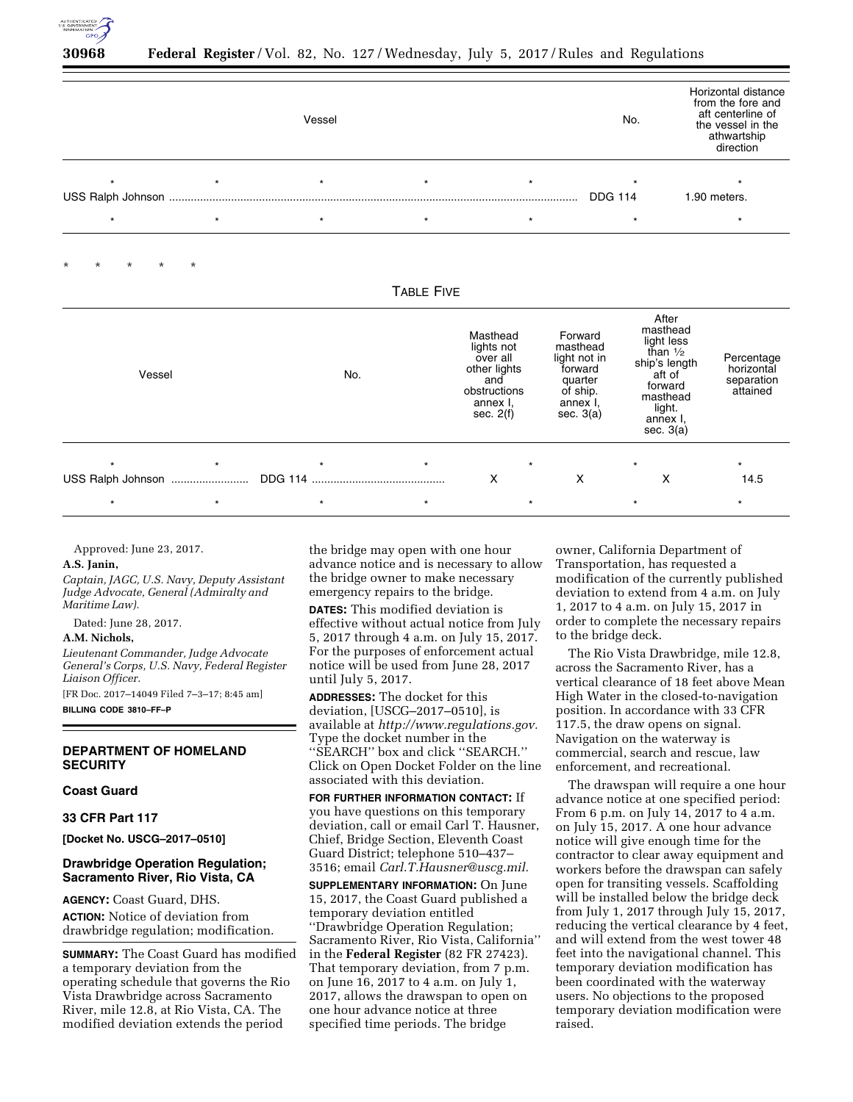

### **30968 Federal Register** / Vol. 82, No. 127 / Wednesday, July 5, 2017 / Rules and Regulations

|                                    | Vessel   |                   |                                                                                                      |                                                                                                  | No.                                                                                                                                          | Horizontal distance<br>from the fore and<br>aft centerline of<br>the vessel in the<br>athwartship<br>direction |
|------------------------------------|----------|-------------------|------------------------------------------------------------------------------------------------------|--------------------------------------------------------------------------------------------------|----------------------------------------------------------------------------------------------------------------------------------------------|----------------------------------------------------------------------------------------------------------------|
| $\star$<br>$\star$                 | $\star$  | $\star$           |                                                                                                      | <b>DDG 114</b>                                                                                   |                                                                                                                                              | $\star$<br>1.90 meters.                                                                                        |
| $\star$<br>$\star$                 | $\star$  | $\star$           | $\star$                                                                                              |                                                                                                  | $\star$                                                                                                                                      | $\star$                                                                                                        |
| $\star$<br>$\star$<br>÷<br>$\star$ |          | <b>TABLE FIVE</b> |                                                                                                      |                                                                                                  |                                                                                                                                              |                                                                                                                |
| Vessel                             | No.      |                   | Masthead<br>lights not<br>over all<br>other lights<br>and<br>obstructions<br>annex I.<br>sec. $2(f)$ | Forward<br>masthead<br>light not in<br>forward<br>quarter<br>of ship.<br>annex I,<br>sec. $3(a)$ | After<br>masthead<br>light less<br>than $\frac{1}{2}$<br>ship's length<br>aft of<br>forward<br>masthead<br>light.<br>annex I,<br>sec. $3(a)$ | Percentage<br>horizontal<br>separation<br>attained                                                             |
| $\star$<br>$\star$                 |          | $\star$           | $\star$<br>X                                                                                         | X                                                                                                | X                                                                                                                                            | 14.5                                                                                                           |
| $\star$<br>$\star$                 | $^\star$ | $\star$           | $\star$                                                                                              |                                                                                                  | $\star$                                                                                                                                      | $\star$                                                                                                        |

Approved: June 23, 2017.

#### **A.S. Janin,**

*Captain, JAGC, U.S. Navy, Deputy Assistant Judge Advocate, General (Admiralty and Maritime Law).* 

Dated: June 28, 2017.

#### **A.M. Nichols,**

*Lieutenant Commander, Judge Advocate General's Corps, U.S. Navy, Federal Register Liaison Officer.* 

[FR Doc. 2017–14049 Filed 7–3–17; 8:45 am] **BILLING CODE 3810–FF–P** 

# **DEPARTMENT OF HOMELAND SECURITY**

# **Coast Guard**

#### **33 CFR Part 117**

**[Docket No. USCG–2017–0510]** 

# **Drawbridge Operation Regulation; Sacramento River, Rio Vista, CA**

**AGENCY:** Coast Guard, DHS. **ACTION:** Notice of deviation from drawbridge regulation; modification.

**SUMMARY:** The Coast Guard has modified a temporary deviation from the operating schedule that governs the Rio Vista Drawbridge across Sacramento River, mile 12.8, at Rio Vista, CA. The modified deviation extends the period

the bridge may open with one hour advance notice and is necessary to allow the bridge owner to make necessary emergency repairs to the bridge.

**DATES:** This modified deviation is effective without actual notice from July 5, 2017 through 4 a.m. on July 15, 2017. For the purposes of enforcement actual notice will be used from June 28, 2017 until July 5, 2017.

**ADDRESSES:** The docket for this deviation, [USCG–2017–0510], is available at *[http://www.regulations.gov.](http://www.regulations.gov)*  Type the docket number in the ''SEARCH'' box and click ''SEARCH.'' Click on Open Docket Folder on the line associated with this deviation.

**FOR FURTHER INFORMATION CONTACT:** If you have questions on this temporary deviation, call or email Carl T. Hausner, Chief, Bridge Section, Eleventh Coast Guard District; telephone 510–437– 3516; email *[Carl.T.Hausner@uscg.mil.](mailto:Carl.T.Hausner@uscg.mil)* 

**SUPPLEMENTARY INFORMATION:** On June 15, 2017, the Coast Guard published a temporary deviation entitled ''Drawbridge Operation Regulation; Sacramento River, Rio Vista, California'' in the **Federal Register** (82 FR 27423). That temporary deviation, from 7 p.m. on June 16, 2017 to 4 a.m. on July 1, 2017, allows the drawspan to open on one hour advance notice at three specified time periods. The bridge

owner, California Department of Transportation, has requested a modification of the currently published deviation to extend from 4 a.m. on July 1, 2017 to 4 a.m. on July 15, 2017 in order to complete the necessary repairs to the bridge deck.

The Rio Vista Drawbridge, mile 12.8, across the Sacramento River, has a vertical clearance of 18 feet above Mean High Water in the closed-to-navigation position. In accordance with 33 CFR 117.5, the draw opens on signal. Navigation on the waterway is commercial, search and rescue, law enforcement, and recreational.

The drawspan will require a one hour advance notice at one specified period: From 6 p.m. on July 14, 2017 to 4 a.m. on July 15, 2017. A one hour advance notice will give enough time for the contractor to clear away equipment and workers before the drawspan can safely open for transiting vessels. Scaffolding will be installed below the bridge deck from July 1, 2017 through July 15, 2017, reducing the vertical clearance by 4 feet, and will extend from the west tower 48 feet into the navigational channel. This temporary deviation modification has been coordinated with the waterway users. No objections to the proposed temporary deviation modification were raised.